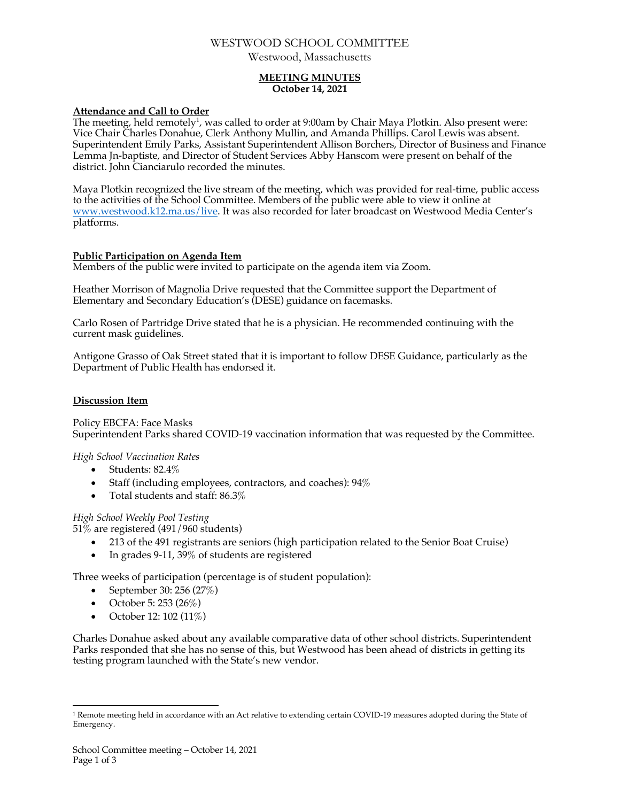# WESTWOOD SCHOOL COMMITTEE

Westwood, Massachusetts

## **MEETING MINUTES October 14, 2021**

## **Attendance and Call to Order**

The meeting, held remotely<sup>1</sup>, was called to order at 9:00am by Chair Maya Plotkin. Also present were: Vice Chair Charles Donahue, Clerk Anthony Mullin, and Amanda Phillips. Carol Lewis was absent. Superintendent Emily Parks, Assistant Superintendent Allison Borchers, Director of Business and Finance Lemma Jn-baptiste, and Director of Student Services Abby Hanscom were present on behalf of the district. John Cianciarulo recorded the minutes.

Maya Plotkin recognized the live stream of the meeting, which was provided for real-time, public access to the activities of the School Committee. Members of the public were able to view it online at www.westwood.k12.ma.us/live. It was also recorded for later broadcast on Westwood Media Center's platforms.

# **Public Participation on Agenda Item**

Members of the public were invited to participate on the agenda item via Zoom.

Heather Morrison of Magnolia Drive requested that the Committee support the Department of Elementary and Secondary Education's (DESE) guidance on facemasks.

Carlo Rosen of Partridge Drive stated that he is a physician. He recommended continuing with the current mask guidelines.

Antigone Grasso of Oak Street stated that it is important to follow DESE Guidance, particularly as the Department of Public Health has endorsed it.

# **Discussion Item**

Policy EBCFA: Face Masks Superintendent Parks shared COVID-19 vaccination information that was requested by the Committee.

*High School Vaccination Rates*

- Students: 82.4\%
- Staff (including employees, contractors, and coaches): 94%
- Total students and staff: 86.3%

*High School Weekly Pool Testing*

51% are registered (491/960 students)

- 213 of the 491 registrants are seniors (high participation related to the Senior Boat Cruise)
- In grades 9-11, 39% of students are registered

Three weeks of participation (percentage is of student population):

- September 30: 256 (27%)
- October 5: 253 (26%)
- October 12: 102 (11%)

Charles Donahue asked about any available comparative data of other school districts. Superintendent Parks responded that she has no sense of this, but Westwood has been ahead of districts in getting its testing program launched with the State's new vendor.

 $1$  Remote meeting held in accordance with an Act relative to extending certain COVID-19 measures adopted during the State of Emergency.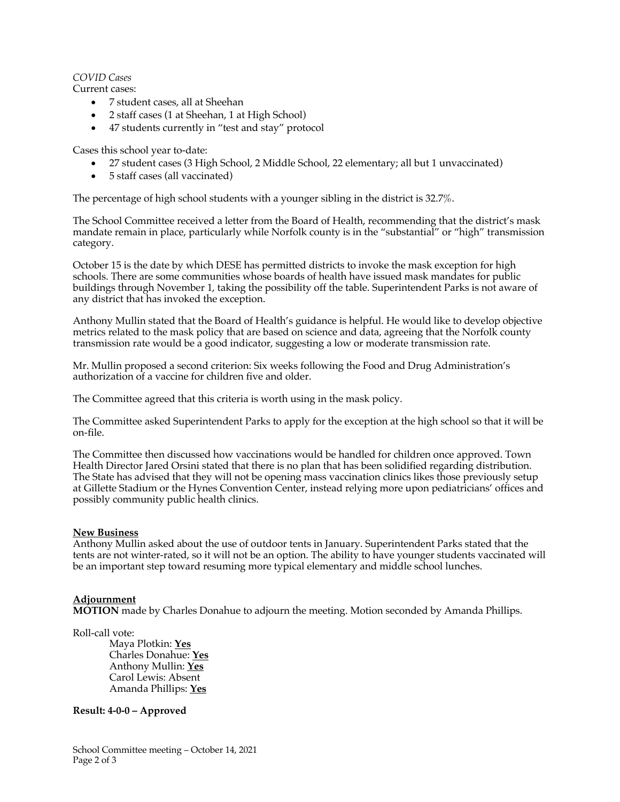## *COVID Cases*

Current cases:

- 7 student cases, all at Sheehan
- 2 staff cases (1 at Sheehan, 1 at High School)
- 47 students currently in "test and stay" protocol

Cases this school year to-date:

- 27 student cases (3 High School, 2 Middle School, 22 elementary; all but 1 unvaccinated)
- 5 staff cases (all vaccinated)

The percentage of high school students with a younger sibling in the district is 32.7%.

The School Committee received a letter from the Board of Health, recommending that the district's mask mandate remain in place, particularly while Norfolk county is in the "substantial" or "high" transmission category.

October 15 is the date by which DESE has permitted districts to invoke the mask exception for high schools. There are some communities whose boards of health have issued mask mandates for public buildings through November 1, taking the possibility off the table. Superintendent Parks is not aware of any district that has invoked the exception.

Anthony Mullin stated that the Board of Health's guidance is helpful. He would like to develop objective metrics related to the mask policy that are based on science and data, agreeing that the Norfolk county transmission rate would be a good indicator, suggesting a low or moderate transmission rate.

Mr. Mullin proposed a second criterion: Six weeks following the Food and Drug Administration's authorization of a vaccine for children five and older.

The Committee agreed that this criteria is worth using in the mask policy.

The Committee asked Superintendent Parks to apply for the exception at the high school so that it will be on-file.

The Committee then discussed how vaccinations would be handled for children once approved. Town Health Director Jared Orsini stated that there is no plan that has been solidified regarding distribution. The State has advised that they will not be opening mass vaccination clinics likes those previously setup at Gillette Stadium or the Hynes Convention Center, instead relying more upon pediatricians' offices and possibly community public health clinics.

## **New Business**

Anthony Mullin asked about the use of outdoor tents in January. Superintendent Parks stated that the tents are not winter-rated, so it will not be an option. The ability to have younger students vaccinated will be an important step toward resuming more typical elementary and middle school lunches.

## **Adjournment**

**MOTION** made by Charles Donahue to adjourn the meeting. Motion seconded by Amanda Phillips.

Roll-call vote:

Maya Plotkin: **Yes** Charles Donahue: **Yes** Anthony Mullin: **Yes** Carol Lewis: Absent Amanda Phillips: **Yes**

## **Result: 4-0-0 – Approved**

School Committee meeting – October 14, 2021 Page 2 of 3